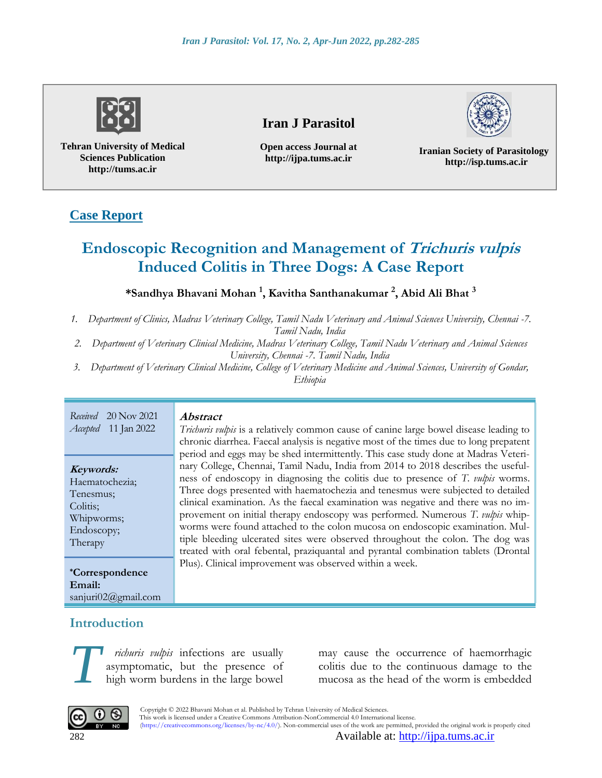

**Tehran University of Medical Sciences Publication http://tums.ac.ir**

## **Iran J Parasitol**

**Open access Journal at http://ijpa.tums.ac.ir**

**Iranian Society of Parasitology http://isp.tums.ac.ir**

# **Case Report**

# **Endoscopic Recognition and Management of Trichuris vulpis Induced Colitis in Three Dogs: A Case Report**

#### **\*Sandhya Bhavani Mohan <sup>1</sup> , Kavitha Santhanakumar <sup>2</sup> , Abid Ali Bhat <sup>3</sup>**

*1. Department of Clinics, Madras Veterinary College, Tamil Nadu Veterinary and Animal Sciences University, Chennai -7.* 

*Tamil Nadu, India* 

- *2. Department of Veterinary Clinical Medicine, Madras Veterinary College, Tamil Nadu Veterinary and Animal Sciences University, Chennai -7. Tamil Nadu, India*
- *3. Department of Veterinary Clinical Medicine, College of Veterinary Medicine and Animal Sciences, University of Gondar, Ethiopia*

| 20 Nov 2021<br>Received<br>11 Jan 2022<br>Accepted                                          | <i><b>Abstract</b></i><br>Trichuris vulpis is a relatively common cause of canine large bowel disease leading to<br>chronic diarrhea. Faecal analysis is negative most of the times due to long prepatent<br>period and eggs may be shed intermittently. This case study done at Madras Veteri-<br>nary College, Chennai, Tamil Nadu, India from 2014 to 2018 describes the useful-<br>ness of endoscopy in diagnosing the colitis due to presence of T. vulpis worms.<br>Three dogs presented with haematochezia and tenesmus were subjected to detailed<br>clinical examination. As the faecal examination was negative and there was no im-<br>provement on initial therapy endoscopy was performed. Numerous T. vulpis whip-<br>worms were found attached to the colon mucosa on endoscopic examination. Mul-<br>tiple bleeding ulcerated sites were observed throughout the colon. The dog was<br>treated with oral febental, praziquantal and pyrantal combination tablets (Drontal<br>Plus). Clinical improvement was observed within a week. |
|---------------------------------------------------------------------------------------------|------------------------------------------------------------------------------------------------------------------------------------------------------------------------------------------------------------------------------------------------------------------------------------------------------------------------------------------------------------------------------------------------------------------------------------------------------------------------------------------------------------------------------------------------------------------------------------------------------------------------------------------------------------------------------------------------------------------------------------------------------------------------------------------------------------------------------------------------------------------------------------------------------------------------------------------------------------------------------------------------------------------------------------------------------|
| Keywords:<br>Haematochezia;<br>Tenesmus;<br>Colitis;<br>Whipworms;<br>Endoscopy;<br>Therapy |                                                                                                                                                                                                                                                                                                                                                                                                                                                                                                                                                                                                                                                                                                                                                                                                                                                                                                                                                                                                                                                      |
| <i>*Correspondence</i><br>Email:<br>sanjuri $02$ @gmail.com                                 |                                                                                                                                                                                                                                                                                                                                                                                                                                                                                                                                                                                                                                                                                                                                                                                                                                                                                                                                                                                                                                                      |

## **Introduction**

*richuris vulpis* infections are usually asymptomatic, but the presence of high worm burdens in the large bowel richuris vulpis infections are usually may cause the occurrence of haemorrhagic asymptomatic, but the presence of colitis due to the continuous damage to the high worm burdens in the large bowel mucosa as the head of the w

may cause the occurrence of haemorrhagic



Copyright © 2022 Bhavani Mohan et al. Published by Tehran University of Medical Sciences.<br>This work is licensed under a Creative Commons Attribution NonCommercial 4.0 Internation This work is licensed under a Creative Commons Attribution-NonCommercial 4.0 International license. (https://creativecommons.org/licenses/by-nc/4.0/). Non-commercial uses of the work are permitted, provided the original work is properly cited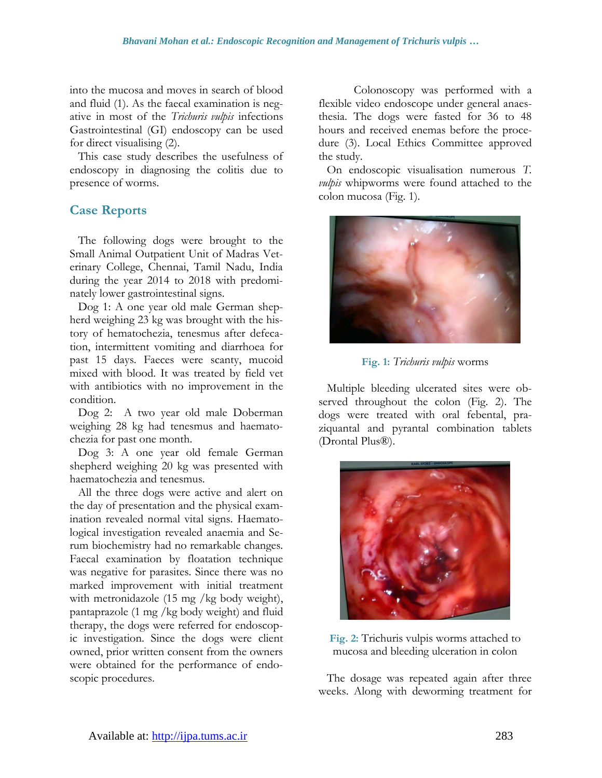into the mucosa and moves in search of blood and fluid (1). As the faecal examination is negative in most of the *Trichuris vulpis* infections Gastrointestinal (GI) endoscopy can be used for direct visualising (2).

This case study describes the usefulness of endoscopy in diagnosing the colitis due to presence of worms.

#### **Case Reports**

The following dogs were brought to the Small Animal Outpatient Unit of Madras Veterinary College, Chennai, Tamil Nadu, India during the year 2014 to 2018 with predominately lower gastrointestinal signs.

Dog 1: A one year old male German shepherd weighing 23 kg was brought with the history of hematochezia, tenesmus after defecation, intermittent vomiting and diarrhoea for past 15 days. Faeces were scanty, mucoid mixed with blood. It was treated by field vet with antibiotics with no improvement in the condition.

Dog 2: A two year old male Doberman weighing 28 kg had tenesmus and haematochezia for past one month.

Dog 3: A one year old female German shepherd weighing 20 kg was presented with haematochezia and tenesmus.

All the three dogs were active and alert on the day of presentation and the physical examination revealed normal vital signs. Haematological investigation revealed anaemia and Serum biochemistry had no remarkable changes. Faecal examination by floatation technique was negative for parasites. Since there was no marked improvement with initial treatment with metronidazole (15 mg /kg body weight), pantaprazole (1 mg /kg body weight) and fluid therapy, the dogs were referred for endoscopic investigation. Since the dogs were client owned, prior written consent from the owners were obtained for the performance of endoscopic procedures.

Colonoscopy was performed with a flexible video endoscope under general anaesthesia. The dogs were fasted for 36 to 48 hours and received enemas before the procedure (3). Local Ethics Committee approved the study.

On endoscopic visualisation numerous *T. vulpis* whipworms were found attached to the colon mucosa (Fig. 1).



**Fig. 1:** *Trichuris vulpis* worms

Multiple bleeding ulcerated sites were observed throughout the colon (Fig. 2). The dogs were treated with oral febental, praziquantal and pyrantal combination tablets (Drontal Plus®).



**Fig. 2:** Trichuris vulpis worms attached to mucosa and bleeding ulceration in colon

The dosage was repeated again after three weeks. Along with deworming treatment for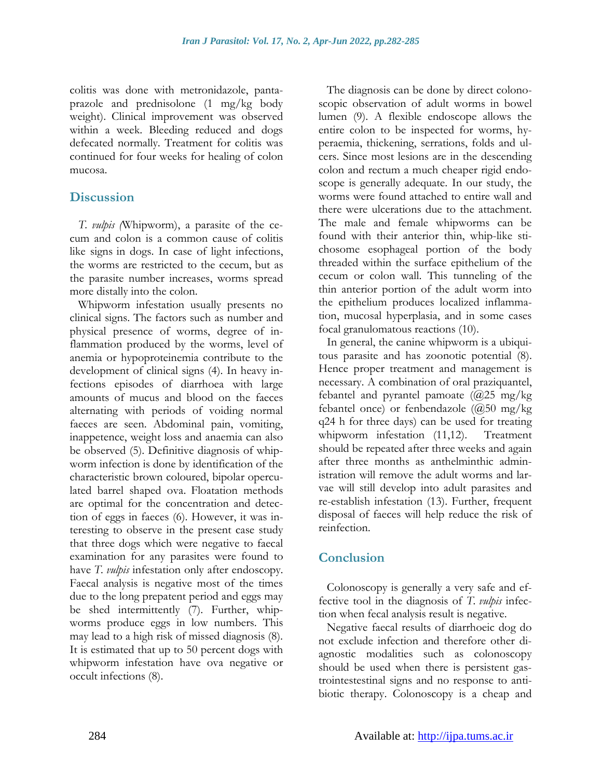colitis was done with metronidazole, pantaprazole and prednisolone (1 mg/kg body weight). Clinical improvement was observed within a week. Bleeding reduced and dogs defecated normally. Treatment for colitis was continued for four weeks for healing of colon mucosa.

#### **Discussion**

*T. vulpis (*Whipworm), a parasite of the cecum and colon is a common cause of colitis like signs in dogs. In case of light infections, the worms are restricted to the cecum, but as the parasite number increases, worms spread more distally into the colon.

Whipworm infestation usually presents no clinical signs. The factors such as number and physical presence of worms, degree of inflammation produced by the worms, level of anemia or hypoproteinemia contribute to the development of clinical signs (4). In heavy infections episodes of diarrhoea with large amounts of mucus and blood on the faeces alternating with periods of voiding normal faeces are seen. Abdominal pain, vomiting, inappetence, weight loss and anaemia can also be observed (5). Definitive diagnosis of whipworm infection is done by identification of the characteristic brown coloured, bipolar operculated barrel shaped ova. Floatation methods are optimal for the concentration and detection of eggs in faeces (6). However, it was interesting to observe in the present case study that three dogs which were negative to faecal examination for any parasites were found to have *T. vulpis* infestation only after endoscopy. Faecal analysis is negative most of the times due to the long prepatent period and eggs may be shed intermittently (7). Further, whipworms produce eggs in low numbers. This may lead to a high risk of missed diagnosis (8). It is estimated that up to 50 percent dogs with whipworm infestation have ova negative or occult infections (8).

The diagnosis can be done by direct colonoscopic observation of adult worms in bowel lumen (9). A flexible endoscope allows the entire colon to be inspected for worms, hyperaemia, thickening, serrations, folds and ulcers. Since most lesions are in the descending colon and rectum a much cheaper rigid endoscope is generally adequate. In our study, the worms were found attached to entire wall and there were ulcerations due to the attachment. The male and female whipworms can be found with their anterior thin, whip-like stichosome esophageal portion of the body threaded within the surface epithelium of the cecum or colon wall. This tunneling of the thin anterior portion of the adult worm into the epithelium produces localized inflammation, mucosal hyperplasia, and in some cases focal granulomatous reactions (10).

In general, the canine whipworm is a ubiquitous parasite and has zoonotic potential (8). Hence proper treatment and management is necessary. A combination of oral praziquantel, febantel and pyrantel pamoate  $(\bar{\omega}$ 25 mg/kg febantel once) or fenbendazole  $(Q50 \text{ mg/kg})$ q24 h for three days) can be used for treating whipworm infestation (11,12). Treatment should be repeated after three weeks and again after three months as anthelminthic administration will remove the adult worms and larvae will still develop into adult parasites and re-establish infestation (13). Further, frequent disposal of faeces will help reduce the risk of reinfection.

## **Conclusion**

Colonoscopy is generally a very safe and effective tool in the diagnosis of *T. vulpis* infection when fecal analysis result is negative.

Negative faecal results of diarrhoeic dog do not exclude infection and therefore other diagnostic modalities such as colonoscopy should be used when there is persistent gastrointestestinal signs and no response to antibiotic therapy. Colonoscopy is a cheap and